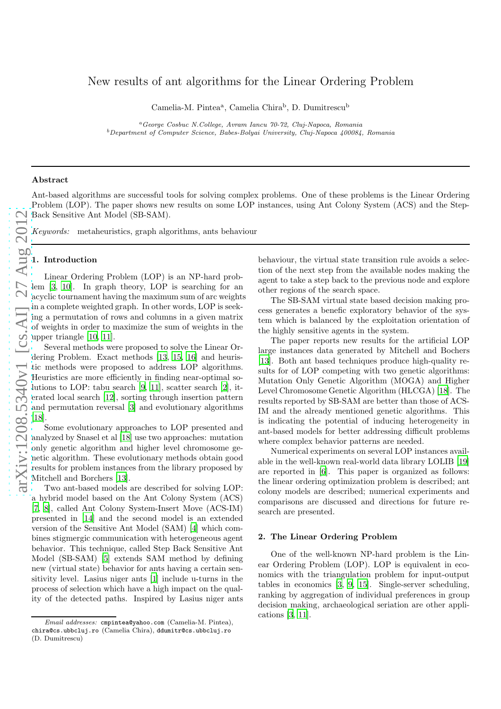# New results of ant algorithms for the Linear Ordering Proble m

Camelia-M. Pintea<sup>a</sup>, Camelia Chira<sup>b</sup>, D. Dumitrescu<sup>b</sup>

<sup>a</sup>*George Cosbuc N.College, Avram Iancu 70-72, Cluj-Napoca, Romania* <sup>b</sup>*Department of Computer Science, Babes-Bolyai University, Cluj-Napoca 400084, Romania*

## Abstract

Ant-based algorithms are successful tools for solving complex problems. One of these problems is the Linear Ordering Problem (LOP). The paper shows new results on some LOP instances, using Ant Colony System (ACS) and the Step-Back Sensitive Ant Model (SB-SAM).

*Keywords:* metaheuristics, graph algorithms, ants behaviour

### 1. Introduction

Linear Ordering Problem (LOP) is an NP-hard problem [\[3,](#page-4-0) [10\]](#page-4-1). In graph theory, LOP is searching for an acyclic tournament having the maximum sum of arc weights in a complete weighted graph. In other words, LOP is seeking a permutation of rows and columns in a given matrix of weights in order to maximize the sum of weights in the upper triangle [\[10,](#page-4-1) [11\]](#page-4-2).

Several methods were proposed to solve the Linear Ordering Problem. Exact methods [\[13](#page-4-3), [15](#page-4-4), [16](#page-4-5)] and heuristic methods were proposed to address LOP algorithms. Heuristics are more efficiently in finding near-optimal solutions to LOP: tabu search [\[9](#page-4-6), [11\]](#page-4-2), scatter search [\[2\]](#page-4-7), iterated local search [\[12\]](#page-4-8), sorting through insertion pattern and permutation reversal [\[3](#page-4-0)] and evolutionary algorithms [\[18](#page-4-9)].

Some evolutionary approaches to LOP presented and analyzed by Snasel et al [\[18\]](#page-4-9) use two approaches: mutation only genetic algorithm and higher level chromosome genetic algorithm. These evolutionary methods obtain good results for problem instances from the library proposed by Mitchell and Borchers [\[13\]](#page-4-3).

Two ant-based models are described for solving LOP: a hybrid model based on the Ant Colony System (ACS) [\[7](#page-4-10), [8\]](#page-4-11), called Ant Colony System-Insert Move (ACS-IM) presented in [\[14\]](#page-4-12) and the second model is an extended version of the Sensitive Ant Model (SAM) [\[4](#page-4-13)] which combines stigmergic communication with heterogeneous agent behavior. This technique, called Step Back Sensitive Ant Model (SB-SAM) [\[5](#page-4-14)] extends SAM method by defining new (virtual state) behavior for ants having a certain sensitivity level. Lasius niger ants [\[1\]](#page-4-15) include u-turns in the process of selection which have a high impact on the quality of the detected paths. Inspired by Lasius niger ants

behaviour, the virtual state transition rule avoids a selection of the next step from the available nodes making the agent to take a step back to the previous node and explore other regions of the search space.

The SB-SAM virtual state based decision making process generates a benefic exploratory behavior of the system which is balanced by the exploitation orientation of the highly sensitive agents in the system.

The paper reports new results for the artificial LOP large instances data generated by Mitchell and Bochers [\[13](#page-4-3)]. Both ant based techniques produce high-quality results for of LOP competing with two genetic algorithms: Mutation Only Genetic Algorithm (MOGA) and Higher Level Chromosome Genetic Algorithm (HLCGA) [\[18\]](#page-4-9). The results reported by SB-SAM are better than those of ACS-IM and the already mentioned genetic algorithms. This is indicating the potential of inducing heterogeneity in ant-based models for better addressing difficult problems where complex behavior patterns are needed.

Numerical experiments on several LOP instances available in the well-known real-world data library LOLIB [\[19\]](#page-4-16) are reported in [\[6\]](#page-4-17). This paper is organized as follows: the linear ordering optimization problem is described; ant colony models are described; numerical experiments and comparisons are discussed and directions for future research are presented.

## 2. The Linear Ordering Problem

One of the well-known NP-hard problem is the Linear Ordering Problem (LOP). LOP is equivalent in economics with the triangulation problem for input-output tables in economics [\[3](#page-4-0), [9,](#page-4-6) [15\]](#page-4-4). Single-server scheduling, ranking by aggregation of individual preferences in group decision making, archaeological seriation are other applications [\[3](#page-4-0), [11](#page-4-2)].

*Email addresses:* cmpintea@yahoo.com (Camelia-M. Pintea), chira@cs.ubbcluj.ro (Camelia Chira), ddumitr@cs.ubbcluj.ro (D. Dumitrescu)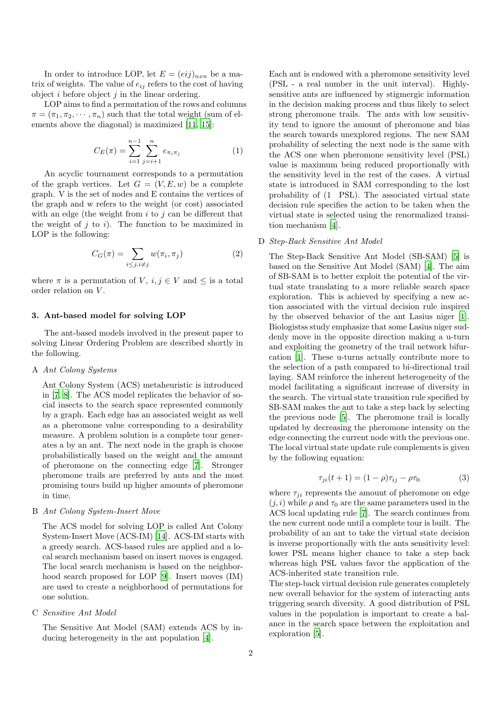In order to introduce LOP, let  $E = (eij)_{n x n}$  be a matrix of weights. The value of  $e_{ij}$  refers to the cost of having object  $i$  before object  $j$  in the linear ordering.

LOP aims to find a permutation of the rows and columns  $\pi = (\pi_1, \pi_2, \cdots, \pi_n)$  such that the total weight (sum of elements above the diagonal) is maximized [\[11](#page-4-2), [15](#page-4-4)]:

$$
C_E(\pi) = \sum_{i=1}^{n-1} \sum_{j=i+1}^{n} e_{\pi_i \pi_j}
$$
 (1)

An acyclic tournament corresponds to a permutation of the graph vertices. Let  $G = (V, E, w)$  be a complete graph. V is the set of nodes and E contains the vertices of the graph and w refers to the weight (or cost) associated with an edge (the weight from  $i$  to  $j$  can be different that the weight of  $j$  to  $i$ ). The function to be maximized in LOP is the following:

$$
C_G(\pi) = \sum_{i \le j, i \ne j} w(\pi_i, \pi_j)
$$
 (2)

where  $\pi$  is a permutation of V,  $i, j \in V$  and  $\leq$  is a total order relation on V .

## 3. Ant-based model for solving LOP

The ant-based models involved in the present paper to solving Linear Ordering Problem are described shortly in the following.

#### A *Ant Colony Systems*

Ant Colony System (ACS) metaheuristic is introduced in [\[7,](#page-4-10) [8\]](#page-4-11). The ACS model replicates the behavior of social insects to the search space represented commonly by a graph. Each edge has an associated weight as well as a pheromone value corresponding to a desirability measure. A problem solution is a complete tour generates a by an ant. The next node in the graph is choose probabilistically based on the weight and the amount of pheromone on the connecting edge [\[7\]](#page-4-10). Stronger pheromone trails are preferred by ants and the most promising tours build up higher amounts of pheromone in time.

### B *Ant Colony System-Insert Move*

The ACS model for solving LOP is called Ant Colony System-Insert Move (ACS-IM) [\[14\]](#page-4-12). ACS-IM starts with a greedy search. ACS-based rules are applied and a local search mechanism based on insert moves is engaged. The local search mechanism is based on the neighborhood search proposed for LOP [\[9\]](#page-4-6). Insert moves (IM) are used to create a neighborhood of permutations for one solution.

# C *Sensitive Ant Model*

The Sensitive Ant Model (SAM) extends ACS by inducing heterogeneity in the ant population [\[4](#page-4-13)].

Each ant is endowed with a pheromone sensitivity level (PSL - a real number in the unit interval). Highlysensitive ants are influenced by stigmergic information in the decision making process and thus likely to select strong pheromone trails. The ants with low sensitivity tend to ignore the amount of pheromone and bias the search towards unexplored regions. The new SAM probability of selecting the next node is the same with the ACS one when pheromone sensitivity level (PSL) value is maximum being reduced proportionally with the sensitivity level in the rest of the cases. A virtual state is introduced in SAM corresponding to the lost probability of (1 PSL). The associated virtual state decision rule specifies the action to be taken when the virtual state is selected using the renormalized transition mechanism [\[4\]](#page-4-13).

## D *Step-Back Sensitive Ant Model*

The Step-Back Sensitive Ant Model (SB-SAM) [\[5\]](#page-4-14) is based on the Sensitive Ant Model (SAM) [\[4](#page-4-13)]. The aim of SB-SAM is to better exploit the potential of the virtual state translating to a more reliable search space exploration. This is achieved by specifying a new action associated with the virtual decision rule inspired by the observed behavior of the ant Lasius niger [\[1](#page-4-15)]. Biologistss study emphasize that some Lasius niger suddenly move in the opposite direction making a u-turn and exploiting the geometry of the trail network bifurcation [\[1\]](#page-4-15). These u-turns actually contribute more to the selection of a path compared to bi-directional trail laying. SAM reinforce the inherent heterogeneity of the model facilitating a significant increase of diversity in the search. The virtual state transition rule specified by SB-SAM makes the ant to take a step back by selecting the previous node [\[5\]](#page-4-14). The pheromone trail is locally updated by decreasing the pheromone intensity on the edge connecting the current node with the previous one. The local virtual state update rule complements is given by the following equation:

$$
\tau_{ji}(t+1) = (1 - \rho)\tau_{ij} - \rho\tau_0 \tag{3}
$$

where  $\tau_{ii}$  represents the amount of pheromone on edge  $(i, i)$  while  $\rho$  and  $\tau_0$  are the same parameters used in the ACS local updating rule [\[7\]](#page-4-10). The search continues from the new current node until a complete tour is built. The probability of an ant to take the virtual state decision is inverse proportionally with the ants sensitivity level: lower PSL means higher chance to take a step back whereas high PSL values favor the application of the ACS-inherited state transition rule.

The step-back virtual decision rule generates completely new overall behavior for the system of interacting ants triggering search diversity. A good distribution of PSL values in the population is important to create a balance in the search space between the exploitation and exploration [\[5\]](#page-4-14).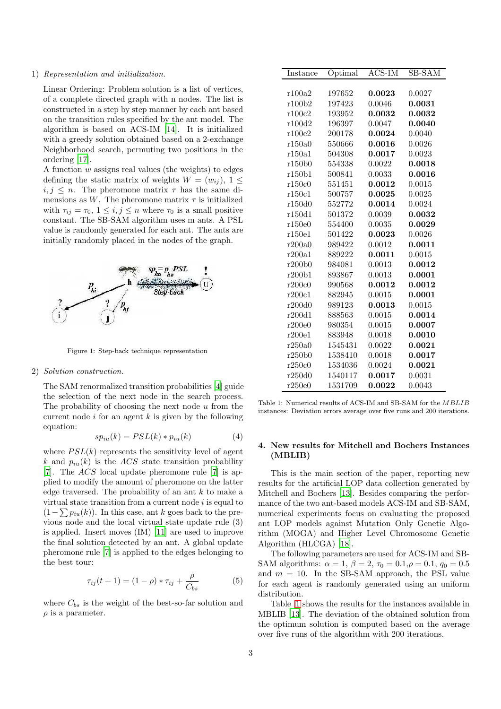#### 1) *Representation and initialization.*

Linear Ordering: Problem solution is a list of vertices, of a complete directed graph with n nodes. The list is constructed in a step by step manner by each ant based on the transition rules specified by the ant model. The algorithm is based on ACS-IM [\[14\]](#page-4-12). It is initialized with a greedy solution obtained based on a 2-exchange Neighborhood search, permuting two positions in the ordering [\[17\]](#page-4-18).

A function w assigns real values (the weights) to edges defining the static matrix of weights  $W = (w_{ij}), 1 \leq$  $i, j \leq n$ . The pheromone matrix  $\tau$  has the same dimensions as W. The pheromone matrix  $\tau$  is initialized with  $\tau_{ij} = \tau_0$ ,  $1 \leq i, j \leq n$  where  $\tau_0$  is a small positive constant. The SB-SAM algorithm uses m ants. A PSL value is randomly generated for each ant. The ants are initially randomly placed in the nodes of the graph.



Figure 1: Step-back technique representation

#### 2) *Solution construction.*

The SAM renormalized transition probabilities [\[4](#page-4-13)] guide the selection of the next node in the search process. The probability of choosing the next node  $u$  from the current node  $i$  for an agent  $k$  is given by the following equation:

$$
sp_{iu}(k) = PSL(k) * p_{iu}(k)
$$
\n(4)

where  $PSL(k)$  represents the sensitivity level of agent k and  $p_{iu}(k)$  is the ACS state transition probability [\[7](#page-4-10)]. The  $ACS$  local update pheromone rule [\[7](#page-4-10)] is applied to modify the amount of pheromone on the latter edge traversed. The probability of an ant  $k$  to make a virtual state transition from a current node  $i$  is equal to  $(1-\sum p_{iu}(k))$ . In this case, ant k goes back to the previous node and the local virtual state update rule (3) is applied. Insert moves (IM) [\[11\]](#page-4-2) are used to improve the final solution detected by an ant. A global update pheromone rule [\[7\]](#page-4-10) is applied to the edges belonging to the best tour:

$$
\tau_{ij}(t+1) = (1-\rho) * \tau_{ij} + \frac{\rho}{C_{bs}}
$$
 (5)

where  $C_{bs}$  is the weight of the best-so-far solution and  $\rho$  is a parameter.

| Instance | Optimal | ACS-IM | SB-SAM |
|----------|---------|--------|--------|
|          |         |        |        |
| r100a2   | 197652  | 0.0023 | 0.0027 |
| r100b2   | 197423  | 0.0046 | 0.0031 |
| r100c2   | 193952  | 0.0032 | 0.0032 |
| r100d2   | 196397  | 0.0047 | 0.0040 |
| r100e2   | 200178  | 0.0024 | 0.0040 |
| r150a0   | 550666  | 0.0016 | 0.0026 |
| r150a1   | 504308  | 0.0017 | 0.0023 |
| r150b0   | 554338  | 0.0022 | 0.0018 |
| r150b1   | 500841  | 0.0033 | 0.0016 |
| r150c0   | 551451  | 0.0012 | 0.0015 |
| r150c1   | 500757  | 0.0025 | 0.0025 |
| r150d0   | 552772  | 0.0014 | 0.0024 |
| r150d1   | 501372  | 0.0039 | 0.0032 |
| r150e0   | 554400  | 0.0035 | 0.0029 |
| r150e1   | 501422  | 0.0023 | 0.0026 |
| r200a0   | 989422  | 0.0012 | 0.0011 |
| r200a1   | 889222  | 0.0011 | 0.0015 |
| r200b0   | 984081  | 0.0013 | 0.0012 |
| r200b1   | 893867  | 0.0013 | 0.0001 |
| r200c0   | 990568  | 0.0012 | 0.0012 |
| r200c1   | 882945  | 0.0015 | 0.0001 |
| r200d0   | 989123  | 0.0013 | 0.0015 |
| r200d1   | 888563  | 0.0015 | 0.0014 |
| r200e0   | 980354  | 0.0015 | 0.0007 |
| r200e1   | 883948  | 0.0018 | 0.0010 |
| r250a0   | 1545431 | 0.0022 | 0.0021 |
| r250b0   | 1538410 | 0.0018 | 0.0017 |
| r250c0   | 1534036 | 0.0024 | 0.0021 |
| r250d0   | 1540117 | 0.0017 | 0.0031 |
| r250e0   | 1531709 | 0.0022 | 0.0043 |

<span id="page-2-0"></span>Table 1: Numerical results of ACS-IM and SB-SAM for the MBLIB instances: Deviation errors average over five runs and 200 iterations.

# 4. New results for Mitchell and Bochers Instances (MBLIB)

This is the main section of the paper, reporting new results for the artificial LOP data collection generated by Mitchell and Bochers [\[13\]](#page-4-3). Besides comparing the performance of the two ant-based models ACS-IM and SB-SAM, numerical experiments focus on evaluating the proposed ant LOP models against Mutation Only Genetic Algorithm (MOGA) and Higher Level Chromosome Genetic Algorithm (HLCGA) [\[18\]](#page-4-9).

The following parameters are used for ACS-IM and SB-SAM algorithms:  $\alpha = 1, \beta = 2, \tau_0 = 0.1, \rho = 0.1, q_0 = 0.5$ and  $m = 10$ . In the SB-SAM approach, the PSL value for each agent is randomly generated using an uniform distribution.

Table [1](#page-2-0) shows the results for the instances available in MBLIB [\[13\]](#page-4-3). The deviation of the obtained solution from the optimum solution is computed based on the average over five runs of the algorithm with 200 iterations.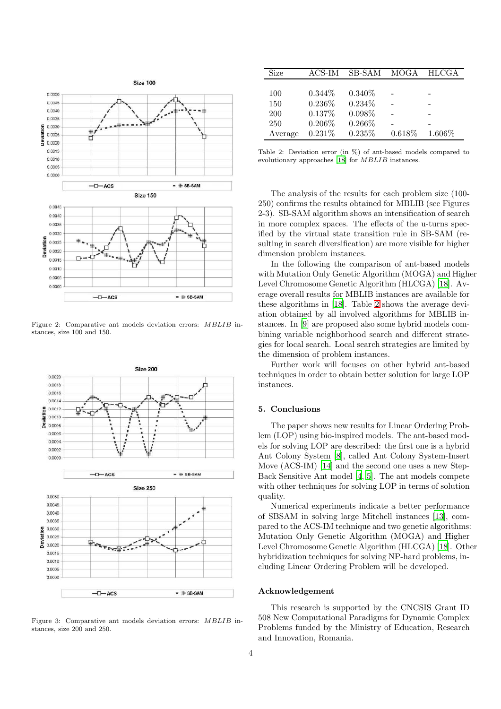

Figure 2: Comparative ant models deviation errors: MBLIB instances, size 100 and 150.



Figure 3: Comparative ant models deviation errors: MBLIB instances, size 200 and 250.

| Size       | ACS-IM    | SB-SAM    | MOGA   | <b>HLCGA</b> |
|------------|-----------|-----------|--------|--------------|
|            |           |           |        |              |
| 100        | $0.344\%$ | $0.340\%$ |        |              |
| 150        | $0.236\%$ | $0.234\%$ |        |              |
| <b>200</b> | 0.137\%   | $0.098\%$ |        |              |
| 250        | $0.206\%$ | $0.266\%$ |        |              |
| Average    | 0.231%    | 0.235%    | 0.618% | $1.606\%$    |

<span id="page-3-0"></span>Table 2: Deviation error (in %) of ant-based models compared to evolutionary approaches [\[18\]](#page-4-9) for MBLIB instances.

The analysis of the results for each problem size (100- 250) confirms the results obtained for MBLIB (see Figures 2-3). SB-SAM algorithm shows an intensification of search in more complex spaces. The effects of the u-turns specified by the virtual state transition rule in SB-SAM (resulting in search diversification) are more visible for higher dimension problem instances.

In the following the comparison of ant-based models with Mutation Only Genetic Algorithm (MOGA) and Higher Level Chromosome Genetic Algorithm (HLCGA) [\[18\]](#page-4-9). Average overall results for MBLIB instances are available for these algorithms in [\[18\]](#page-4-9). Table [2](#page-3-0) shows the average deviation obtained by all involved algorithms for MBLIB instances. In [\[9\]](#page-4-6) are proposed also some hybrid models combining variable neighborhood search and different strategies for local search. Local search strategies are limited by the dimension of problem instances.

Further work will focuses on other hybrid ant-based techniques in order to obtain better solution for large LOP instances.

# 5. Conclusions

The paper shows new results for Linear Ordering Problem (LOP) using bio-inspired models. The ant-based models for solving LOP are described: the first one is a hybrid Ant Colony System [\[8\]](#page-4-11), called Ant Colony System-Insert Move (ACS-IM) [\[14\]](#page-4-12) and the second one uses a new Step-Back Sensitive Ant model [\[4,](#page-4-13) [5\]](#page-4-14). The ant models compete with other techniques for solving LOP in terms of solution quality.

Numerical experiments indicate a better performance of SBSAM in solving large Mitchell instances [\[13\]](#page-4-3), compared to the ACS-IM technique and two genetic algorithms: Mutation Only Genetic Algorithm (MOGA) and Higher Level Chromosome Genetic Algorithm (HLCGA) [\[18\]](#page-4-9). Other hybridization techniques for solving NP-hard problems, including Linear Ordering Problem will be developed.

## Acknowledgement

This research is supported by the CNCSIS Grant ID 508 New Computational Paradigms for Dynamic Complex Problems funded by the Ministry of Education, Research and Innovation, Romania.